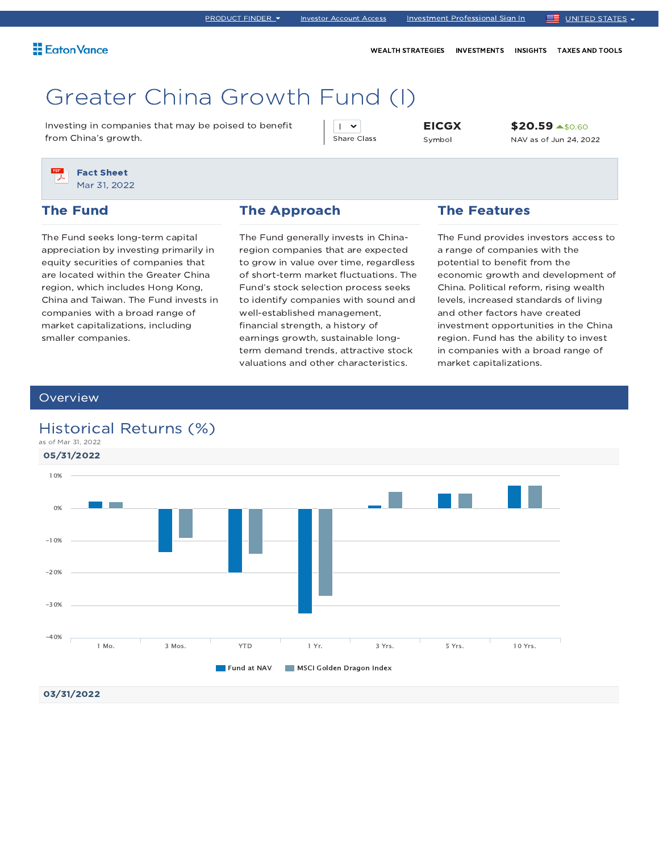WEALTH STRATEGIES INVESTMENTS INSIGHTS TAXES AND TOOLS

# Greater China Growth Fund (I)

Investing in companies that may be poised to benefit from China's growth.

 $\mathsf{I}$   $\mathsf{v}$ Share Class EICGX Symbol

\$20.59 ▲\$0.60 NAV as of Jun 24, 2022

Fact Sheet Mar 31, 2022

### The Fund

The Fund seeks long-term capital appreciation by investing primarily in equity securities of companies that are located within the Greater China region, which includes Hong Kong, China and Taiwan. The Fund invests in companies with a broad range of market capitalizations, including smaller companies.

#### The Approach

The Fund generally invests in Chinaregion companies that are expected to grow in value over time, regardless of short-term market fluctuations. The Fund's stock selection process seeks to identify companies with sound and well-established management, financial strength, a history of earnings growth, sustainable longterm demand trends, attractive stock valuations and other characteristics.

### The Features

The Fund provides investors access to a range of companies with the potential to benefit from the economic growth and development of China. Political reform, rising wealth levels, increased standards of living and other factors have created investment opportunities in the China region. Fund has the ability to invest in companies with a broad range of market capitalizations.

### **Overview**

## Historical Returns (%)

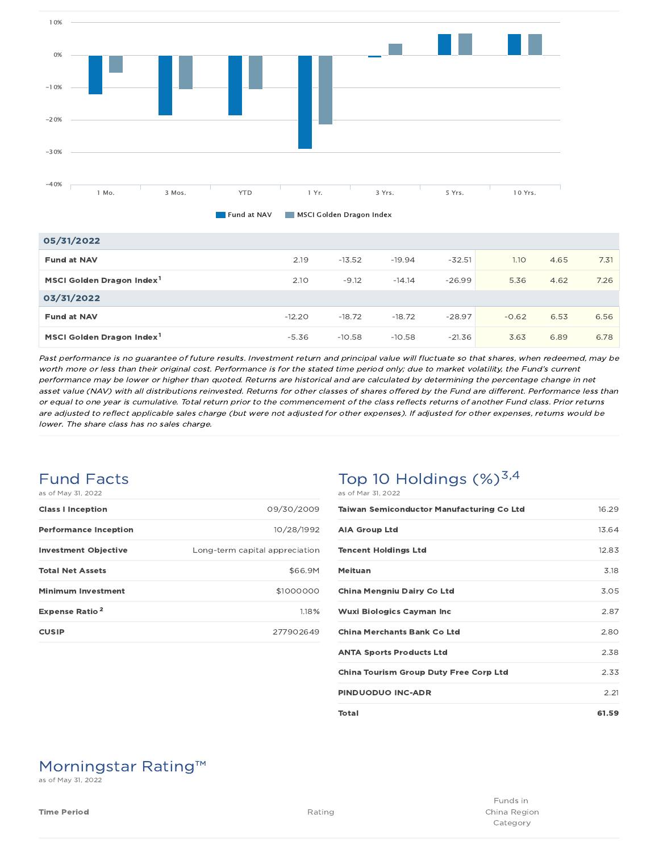

| 05/31/2022                            |          |          |          |          |         |      |      |
|---------------------------------------|----------|----------|----------|----------|---------|------|------|
| <b>Fund at NAV</b>                    | 2.19     | $-13.52$ | $-19.94$ | $-32.51$ | 1.10    | 4.65 | 7.31 |
| MSCI Golden Dragon Index <sup>1</sup> | 2.10     | $-9.12$  | $-14.14$ | $-26.99$ | 5.36    | 4.62 | 7.26 |
| 03/31/2022                            |          |          |          |          |         |      |      |
| <b>Fund at NAV</b>                    | $-12.20$ | $-18.72$ | $-18.72$ | $-28.97$ | $-0.62$ | 6.53 | 6.56 |
| MSCI Golden Dragon Index <sup>1</sup> | $-5.36$  | $-10.58$ | $-10.58$ | $-21.36$ | 3.63    | 6.89 | 6.78 |

Past performance is no guarantee of future results. Investment return and principal value will fluctuate so that shares, when redeemed, may be worth more or less than their original cost. Performance is for the stated time period only; due to market volatility, the Fund's current performance may be lower or higher than quoted. Returns are historical and are calculated by determining the percentage change in net asset value (NAV) with all distributions reinvested. Returns for other classes of shares offered by the Fund are different. Performance less than or equal to one year is cumulative. Total return prior to the commencement of the class reflects returns of another Fund class. Prior returns are adjusted to reflect applicable sales charge (but were not adjusted for other expenses). If adjusted for other expenses, returns would be lower. The share class has no sales charge.

#### Fund Facts as of May 31, 2022

| ds UI May 31. ZUZZ               |                                |
|----------------------------------|--------------------------------|
| <b>Class I Inception</b>         | 09/30/2009                     |
| <b>Performance Inception</b>     | 10/28/1992                     |
| <b>Investment Objective</b>      | Long-term capital appreciation |
| <b>Total Net Assets</b>          | \$66.9M                        |
| <b>Minimum Investment</b>        | \$1000000                      |
| <b>Expense Ratio<sup>2</sup></b> | 1.18%                          |
| <b>CUSIP</b>                     | 277902649                      |

### Top 10 Holdings  $(\%)^{3,4}$ as of Mar 31, 2022

| <b>Taiwan Semiconductor Manufacturing Co Ltd</b> | 16.29 |
|--------------------------------------------------|-------|
| <b>AIA Group Ltd</b>                             | 13.64 |
| <b>Tencent Holdings Ltd</b>                      | 12.83 |
| Meituan                                          | 3.18  |
| China Mengniu Dairy Co Ltd                       | 3.05  |
| <b>Wuxi Biologics Cayman Inc</b>                 | 2.87  |
| <b>China Merchants Bank Co Ltd</b>               | 2.80  |
| <b>ANTA Sports Products Ltd</b>                  | 2.38  |
| <b>China Tourism Group Duty Free Corp Ltd</b>    | 2.33  |
| <b>PINDUODUO INC-ADR</b>                         | 2.21  |
| Total                                            | 61.59 |

# Morningstar Rating™

as of May 31, 2022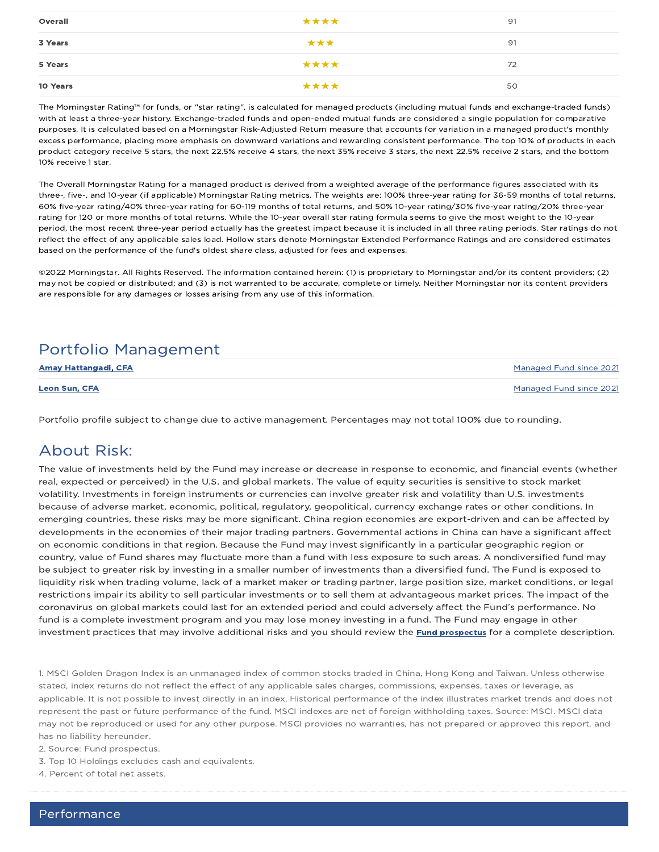| Overall  | **** | 91 |
|----------|------|----|
| 3 Years  | ***  | 91 |
| 5 Years  | **** | 72 |
| 10 Years | **** | 50 |

The Morningstar Rating™ for funds, or "star rating", is calculated for managed products (including mutual funds and exchange-traded funds) with at least a three-year history. Exchange-traded funds and open-ended mutual funds are considered a single population for comparative purposes. It is calculated based on a Morningstar Risk-Adjusted Return measure that accounts for variation in a managed product's monthly excess performance, placing more emphasis on downward variations and rewarding consistent performance. The top 10% of products in each product category receive 5 stars, the next 22.5% receive 4 stars, the next 35% receive 3 stars, the next 22.5% receive 2 stars, and the bottom 10% receive 1 star.

The Overall Morningstar Rating for a managed product is derived from a weighted average of the performance figures associated with its three-, five-, and 10-year (if applicable) Morningstar Rating metrics. The weights are: 100% three-year rating for 36-59 months of total returns, 60% five-year rating/40% three-year rating for 60-119 months of total returns, and 50% 10-year rating/30% five-year rating/20% three-year rating for 120 or more months of total returns. While the 10-year overall star rating formula seems to give the most weight to the 10-year period, the most recent three-year period actually has the greatest impact because it is included in all three rating periods. Star ratings do not reflect the effect of any applicable sales load. Hollow stars denote Morningstar Extended Performance Ratings and are considered estimates based on the performance of the fund's oldest share class, adjusted for fees and expenses.

©2022 Morningstar. All Rights Reserved. The information contained herein: (1) is proprietary to Morningstar and/or its content providers; (2) may not be copied or distributed; and (3) is not warranted to be accurate, complete or timely. Neither Morningstar nor its content providers are responsible for any damages or losses arising from any use of this information.

# Portfolio Management

| <b>Amay Hattangadi, CFA</b> | Managed Fund since 2021 |
|-----------------------------|-------------------------|
| <b>Leon Sun, CFA</b>        | Managed Fund since 2021 |

Portfolio profile subject to change due to active management. Percentages may not total 100% due to rounding.

# About Risk:

The value of investments held by the Fund may increase or decrease in response to economic, and financial events (whether real, expected or perceived) in the U.S. and global markets. The value of equity securities is sensitive to stock market volatility. Investments in foreign instruments or currencies can involve greater risk and volatility than U.S. investments because of adverse market, economic, political, regulatory, geopolitical, currency exchange rates or other conditions. In emerging countries, these risks may be more significant. China region economies are export-driven and can be affected by developments in the economies of their major trading partners. Governmental actions in China can have a significant affect on economic conditions in that region. Because the Fund may invest significantly in a particular geographic region or country, value of Fund shares may fluctuate more than a fund with less exposure to such areas. A nondiversified fund may be subject to greater risk by investing in a smaller number of investments than a diversified fund. The Fund is exposed to liquidity risk when trading volume, lack of a market maker or trading partner, large position size, market conditions, or legal restrictions impair its ability to sell particular investments or to sell them at advantageous market prices. The impact of the coronavirus on global markets could last for an extended period and could adversely affect the Fund's performance. No fund is a complete investment program and you may lose money investing in a fund. The Fund may engage in other investment practices that may involve additional risks and you should review the **Fund prospectus** for a complete description.

1. MSCI Golden Dragon Index is an unmanaged index of common stocks traded in China, Hong Kong and Taiwan. Unless otherwise stated, index returns do not reflect the effect of any applicable sales charges, commissions, expenses, taxes or leverage, as applicable. It is not possible to invest directly in an index. Historical performance of the index illustrates market trends and does not represent the past or future performance of the fund. MSCI indexes are net of foreign withholding taxes. Source: MSCI. MSCI data may not be reproduced or used for any other purpose. MSCI provides no warranties, has not prepared or approved this report, and has no liability hereunder.

2. Source: Fund prospectus.

3. Top 10 Holdings excludes cash and equivalents.

4. Percent of total net assets.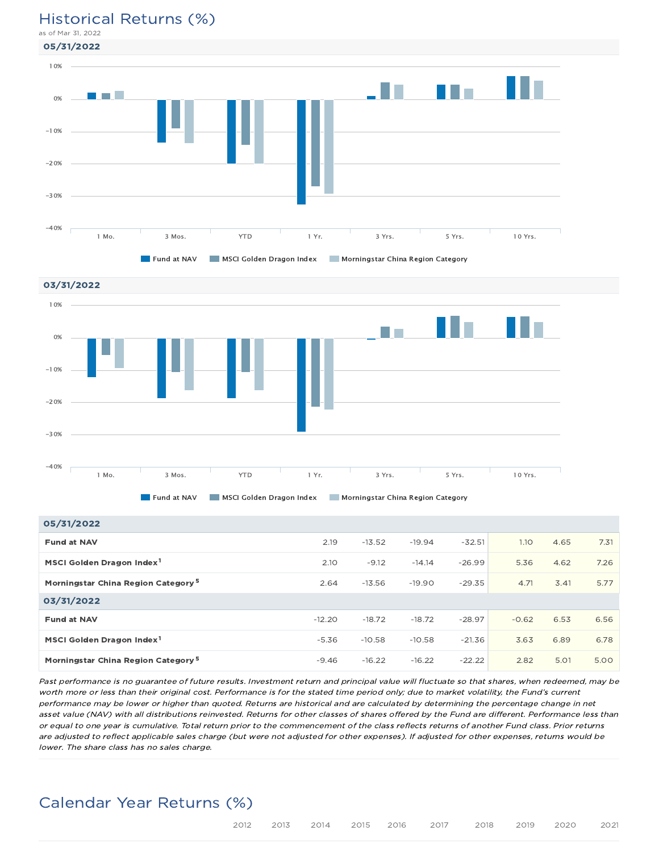#### Historical Returns (%) as of Mar 31, 2022

05/31/2022





| 05/31/2022                                     |          |          |          |          |         |      |      |
|------------------------------------------------|----------|----------|----------|----------|---------|------|------|
| <b>Fund at NAV</b>                             | 2.19     | $-13.52$ | $-19.94$ | $-32.51$ | 1.10    | 4.65 | 7.31 |
| MSCI Golden Dragon Index <sup>1</sup>          | 2.10     | $-9.12$  | $-14.14$ | $-26.99$ | 5.36    | 4.62 | 7.26 |
| Morningstar China Region Category <sup>5</sup> | 2.64     | $-13.56$ | $-19.90$ | $-29.35$ | 4.71    | 3.41 | 5.77 |
| 03/31/2022                                     |          |          |          |          |         |      |      |
| <b>Fund at NAV</b>                             | $-12.20$ | $-18.72$ | $-18.72$ | $-28.97$ | $-0.62$ | 6.53 | 6.56 |
| MSCI Golden Dragon Index <sup>1</sup>          | $-5.36$  | $-10.58$ | $-10.58$ | $-21.36$ | 3.63    | 6.89 | 6.78 |
| Morningstar China Region Category <sup>5</sup> | $-9.46$  | $-16.22$ | $-16.22$ | $-22.22$ | 2.82    | 5.01 | 5.00 |

Past performance is no guarantee of future results. Investment return and principal value will fluctuate so that shares, when redeemed, may be worth more or less than their original cost. Performance is for the stated time period only; due to market volatility, the Fund's current performance may be lower or higher than quoted. Returns are historical and are calculated by determining the percentage change in net asset value (NAV) with all distributions reinvested. Returns for other classes of shares offered by the Fund are different. Performance less than or equal to one year is cumulative. Total return prior to the commencement of the class reflects returns of another Fund class. Prior returns are adjusted to reflect applicable sales charge (but were not adjusted for other expenses). If adjusted for other expenses, returns would be lower. The share class has no sales charge.

# Calendar Year Returns (%)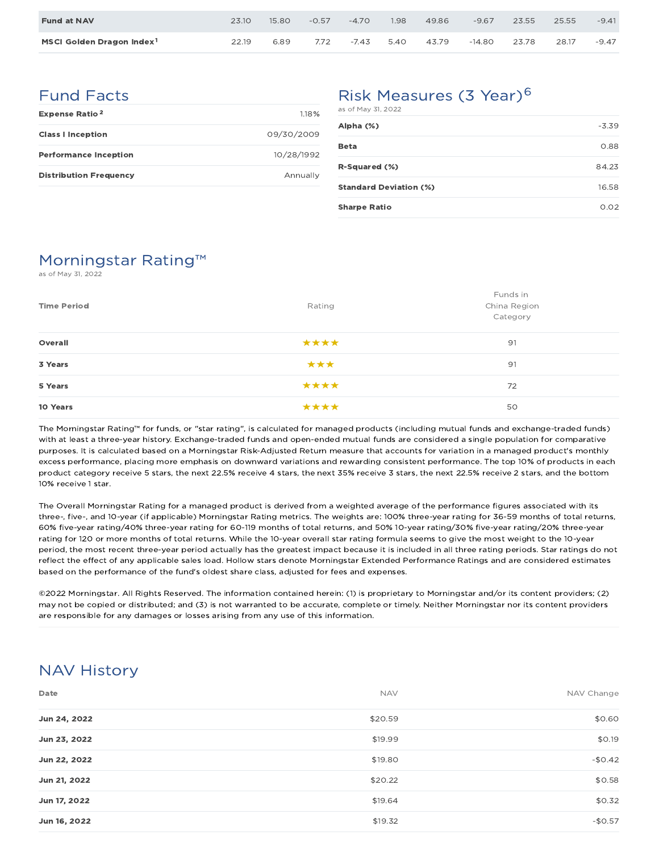| <b>Fund at NAV</b>                    | 23.10 | 15.80 | $-0.57$ | $-4.70$ | 1.98 | 49.86 | $-9.67$  | 23.55 | 25.55 | $-9.41$ |
|---------------------------------------|-------|-------|---------|---------|------|-------|----------|-------|-------|---------|
| MSCI Golden Dragon Index <sup>1</sup> | 22.19 | 6.89  | 7.72    | $-7.43$ | 5.40 | 43.79 | $-14.80$ | 23.78 | 28.17 | $-9.47$ |

## Fund Facts

| <b>Expense Ratio<sup>2</sup></b> | 118%       |
|----------------------------------|------------|
| <b>Class I Inception</b>         | 09/30/2009 |
| <b>Performance Inception</b>     | 10/28/1992 |
| <b>Distribution Frequency</b>    | Annually   |

### Risk Measures (3 Year)<sup>6</sup> as of May 31, 2022

| Alpha (%)                     | $-3.39$ |
|-------------------------------|---------|
| <b>Beta</b>                   | 0.88    |
| R-Squared (%)                 | 84.23   |
| <b>Standard Deviation (%)</b> | 16.58   |
| <b>Sharpe Ratio</b>           | 0.02    |

# Morningstar Rating™

as of May 31, 2022

| <b>Time Period</b> | Rating | Funds in<br>China Region<br>Category |
|--------------------|--------|--------------------------------------|
| Overall            | ****   | 91                                   |
| 3 Years            | ***    | 91                                   |
| 5 Years            | ****   | 72                                   |
| 10 Years           | ****   | 50                                   |

The Morningstar Rating™ for funds, or "star rating", is calculated for managed products (including mutual funds and exchange-traded funds) with at least a three-year history. Exchange-traded funds and open-ended mutual funds are considered a single population for comparative purposes. It is calculated based on a Morningstar Risk-Adjusted Return measure that accounts for variation in a managed product's monthly excess performance, placing more emphasis on downward variations and rewarding consistent performance. The top 10% of products in each product category receive 5 stars, the next 22.5% receive 4 stars, the next 35% receive 3 stars, the next 22.5% receive 2 stars, and the bottom 10% receive 1 star.

The Overall Morningstar Rating for a managed product is derived from a weighted average of the performance figures associated with its three-, five-, and 10-year (if applicable) Morningstar Rating metrics. The weights are: 100% three-year rating for 36-59 months of total returns, 60% five-year rating/40% three-year rating for 60-119 months of total returns, and 50% 10-year rating/30% five-year rating/20% three-year rating for 120 or more months of total returns. While the 10-year overall star rating formula seems to give the most weight to the 10-year period, the most recent three-year period actually has the greatest impact because it is included in all three rating periods. Star ratings do not reflect the effect of any applicable sales load. Hollow stars denote Morningstar Extended Performance Ratings and are considered estimates based on the performance of the fund's oldest share class, adjusted for fees and expenses.

©2022 Morningstar. All Rights Reserved. The information contained herein: (1) is proprietary to Morningstar and/or its content providers; (2) may not be copied or distributed; and (3) is not warranted to be accurate, complete or timely. Neither Morningstar nor its content providers are responsible for any damages or losses arising from any use of this information.

# NAV History

| Date         | <b>NAV</b> | NAV Change |
|--------------|------------|------------|
| Jun 24, 2022 | \$20.59    | \$0.60     |
| Jun 23, 2022 | \$19.99    | \$0.19     |
| Jun 22, 2022 | \$19.80    | $-$0.42$   |
| Jun 21, 2022 | \$20.22    | \$0.58     |
| Jun 17, 2022 | \$19.64    | \$0.32     |
| Jun 16, 2022 | \$19.32    | $-$0.57$   |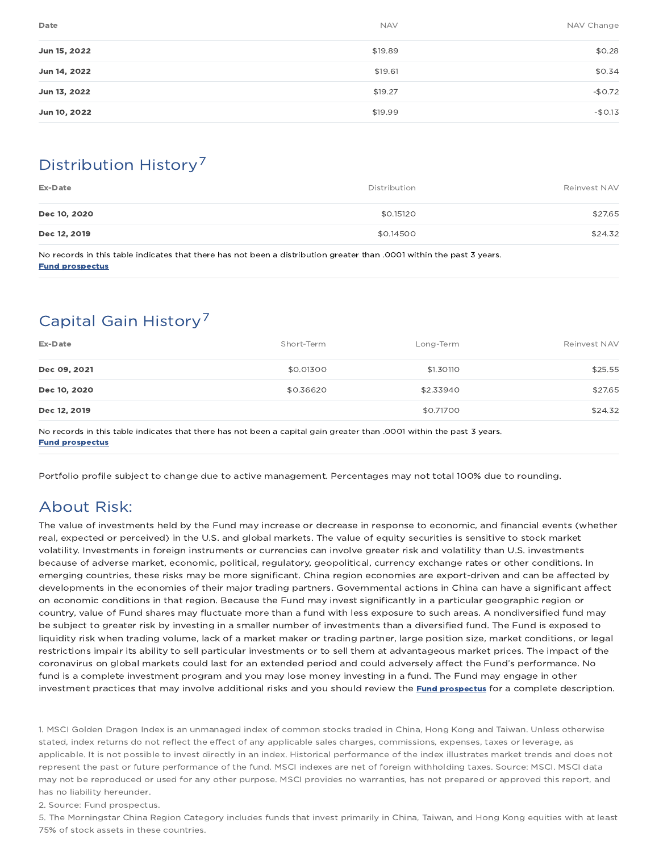| Date         | <b>NAV</b> | NAV Change |
|--------------|------------|------------|
| Jun 15, 2022 | \$19.89    | \$0.28     |
| Jun 14, 2022 | \$19.61    | \$0.34     |
| Jun 13, 2022 | \$19.27    | $-$0.72$   |
| Jun 10, 2022 | \$19.99    | $-$0.13$   |

# Distribution History 7

| Ex-Date      | Distribution | Reinvest NAV |
|--------------|--------------|--------------|
| Dec 10, 2020 | \$0.15120    | \$27.65      |
| Dec 12, 2019 | \$0.14500    | \$24.32      |

No records in this table indicates that there has not been a distribution greater than .0001 within the past 3 years. Fund prospectus

# Capital Gain History<sup>7</sup>

| Ex-Date      | Short-Term | Long-Term | Reinvest NAV |
|--------------|------------|-----------|--------------|
| Dec 09, 2021 | \$0.01300  | \$1.30110 | \$25.55      |
| Dec 10, 2020 | \$0.36620  | \$2.33940 | \$27.65      |
| Dec 12, 2019 |            | \$0.71700 | \$24.32      |

No records in this table indicates that there has not been a capital gain greater than .0001 within the past 3 years. Fund prospectus

Portfolio profile subject to change due to active management. Percentages may not total 100% due to rounding.

# About Risk:

The value of investments held by the Fund may increase or decrease in response to economic, and financial events (whether real, expected or perceived) in the U.S. and global markets. The value of equity securities is sensitive to stock market volatility. Investments in foreign instruments or currencies can involve greater risk and volatility than U.S. investments because of adverse market, economic, political, regulatory, geopolitical, currency exchange rates or other conditions. In emerging countries, these risks may be more significant. China region economies are export-driven and can be affected by developments in the economies of their major trading partners. Governmental actions in China can have a significant affect on economic conditions in that region. Because the Fund may invest significantly in a particular geographic region or country, value of Fund shares may fluctuate more than a fund with less exposure to such areas. A nondiversified fund may be subject to greater risk by investing in a smaller number of investments than a diversified fund. The Fund is exposed to liquidity risk when trading volume, lack of a market maker or trading partner, large position size, market conditions, or legal restrictions impair its ability to sell particular investments or to sell them at advantageous market prices. The impact of the coronavirus on global markets could last for an extended period and could adversely affect the Fund's performance. No fund is a complete investment program and you may lose money investing in a fund. The Fund may engage in other investment practices that may involve additional risks and you should review the **Fund prospectus** for a complete description.

1. MSCI Golden Dragon Index is an unmanaged index of common stocks traded in China, Hong Kong and Taiwan. Unless otherwise stated, index returns do not reflect the effect of any applicable sales charges, commissions, expenses, taxes or leverage, as applicable. It is not possible to invest directly in an index. Historical performance of the index illustrates market trends and does not represent the past or future performance of the fund. MSCI indexes are net of foreign withholding taxes. Source: MSCI. MSCI data may not be reproduced or used for any other purpose. MSCI provides no warranties, has not prepared or approved this report, and has no liability hereunder.

2. Source: Fund prospectus.

5. The Morningstar China Region Category includes funds that invest primarily in China, Taiwan, and Hong Kong equities with at least 75% of stock assets in these countries.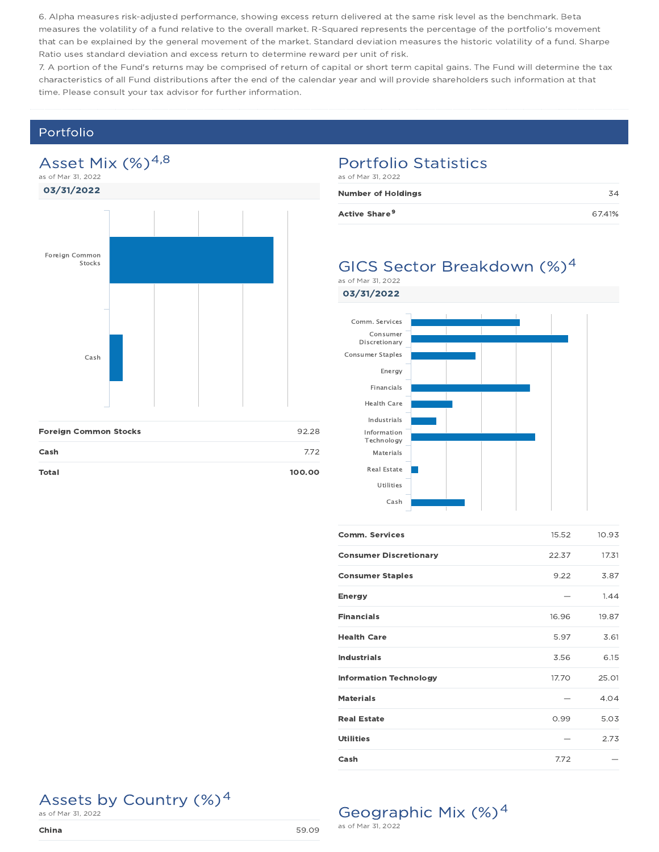6. Alpha measures risk-adjusted performance, showing excess return delivered at the same risk level as the benchmark. Beta measures the volatility of a fund relative to the overall market. R-Squared represents the percentage of the portfolio's movement that can be explained by the general movement of the market. Standard deviation measures the historic volatility of a fund. Sharpe Ratio uses standard deviation and excess return to determine reward per unit of risk.

7. A portion of the Fund's returns may be comprised of return of capital or short term capital gains. The Fund will determine the tax characteristics of all Fund distributions after the end of the calendar year and will provide shareholders such information at that time. Please consult your tax advisor for further information.

### Portfolio

### Asset Mix  $(\%)^{4,8}$ as of Mar 31, 2022

03/31/2022



#### Portfolio Statistics as of Mar 31, 2022

| <b>Number of Holdings</b> |        |
|---------------------------|--------|
| Active Share <sup>9</sup> | 67.41% |

### GICS Sector Breakdown (%)<sup>4</sup> as of Mar 31, 2022

03/31/2022



| <b>Comm. Services</b>         | 15.52 | 10.93 |
|-------------------------------|-------|-------|
| <b>Consumer Discretionary</b> | 22.37 | 17.31 |
| <b>Consumer Staples</b>       | 9.22  | 3.87  |
| <b>Energy</b>                 |       | 1.44  |
| <b>Financials</b>             | 16.96 | 19.87 |
| <b>Health Care</b>            | 5.97  | 3.61  |
| <b>Industrials</b>            | 3.56  | 6.15  |
| <b>Information Technology</b> | 17.70 | 25.01 |
| <b>Materials</b>              |       | 4.04  |
| <b>Real Estate</b>            | 0.99  | 5.03  |
| <b>Utilities</b>              |       | 2.73  |
| Cash                          | 7.72  |       |

# Assets by Country  $(\%)^4$  as of Mar 31, 2022



# Geographic Mix (%)<sup>4</sup>

as of Mar 31, 2022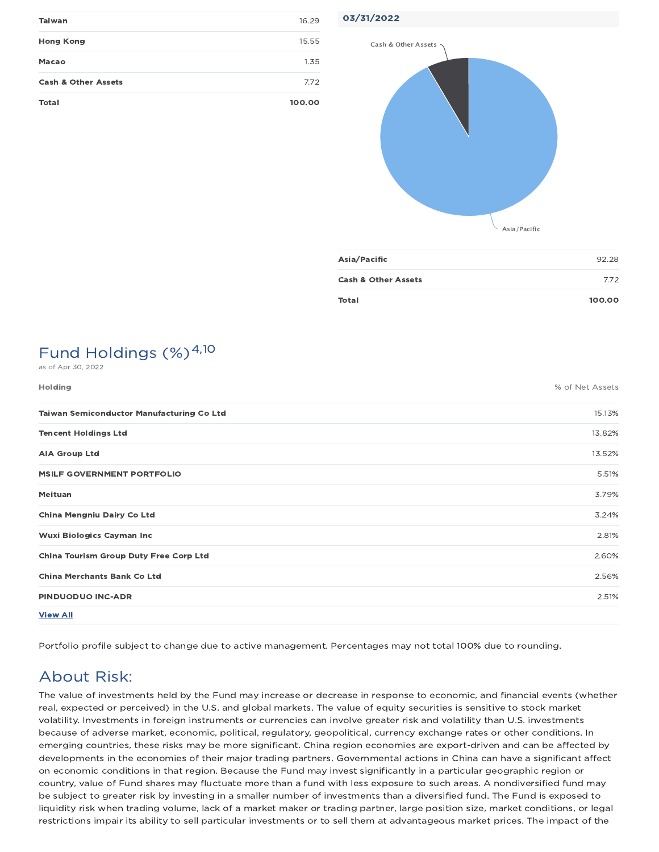| <b>Taiwan</b>                  | 16.29  |
|--------------------------------|--------|
| <b>Hong Kong</b>               | 15.55  |
| Macao                          | 1.35   |
| <b>Cash &amp; Other Assets</b> | 7.72   |
| <b>Total</b>                   | 100.00 |



| Asia/Pacific                   | 92.28  |
|--------------------------------|--------|
| <b>Cash &amp; Other Assets</b> | 772    |
| Total                          | 100.00 |

# Fund Holdings  $(\%)^{4,10}$

| as of Apr 30, 2022                        |                 |
|-------------------------------------------|-----------------|
| Holding                                   | % of Net Assets |
| Taiwan Semiconductor Manufacturing Co Ltd | 15.13%          |
| <b>Tencent Holdings Ltd</b>               | 13.82%          |
| <b>AIA Group Ltd</b>                      | 13.52%          |
| <b>MSILF GOVERNMENT PORTFOLIO</b>         | 5.51%           |
| Meituan                                   | 3.79%           |
| China Mengniu Dairy Co Ltd                | 3.24%           |
| <b>Wuxi Biologics Cayman Inc.</b>         | 2.81%           |
| China Tourism Group Duty Free Corp Ltd    | 2.60%           |
| <b>China Merchants Bank Co Ltd</b>        | 2.56%           |
| PINDUODUO INC-ADR                         | 2.51%           |
| <b>View All</b>                           |                 |

Portfolio profile subject to change due to active management. Percentages may not total 100% due to rounding.

# About Risk:

The value of investments held by the Fund may increase or decrease in response to economic, and financial events (whether real, expected or perceived) in the U.S. and global markets. The value of equity securities is sensitive to stock market volatility. Investments in foreign instruments or currencies can involve greater risk and volatility than U.S. investments because of adverse market, economic, political, regulatory, geopolitical, currency exchange rates or other conditions. In emerging countries, these risks may be more significant. China region economies are export-driven and can be affected by developments in the economies of their major trading partners. Governmental actions in China can have a significant affect on economic conditions in that region. Because the Fund may invest significantly in a particular geographic region or country, value of Fund shares may fluctuate more than a fund with less exposure to such areas. A nondiversified fund may be subject to greater risk by investing in a smaller number of investments than a diversified fund. The Fund is exposed to liquidity risk when trading volume, lack of a market maker or trading partner, large position size, market conditions, or legal restrictions impair its ability to sell particular investments or to sell them at advantageous market prices. The impact of the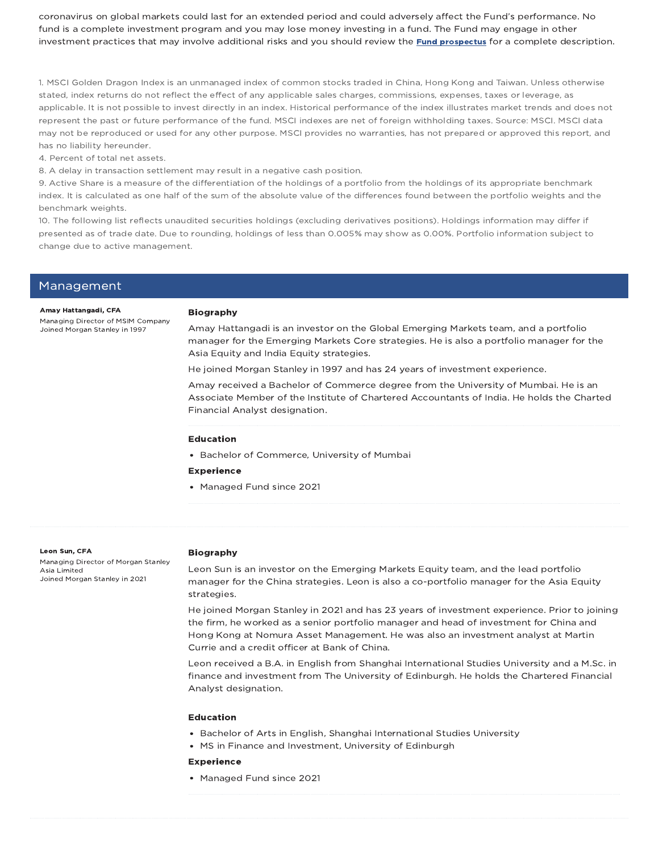coronavirus on global markets could last for an extended period and could adversely affect the Fund's performance. No fund is a complete investment program and you may lose money investing in a fund. The Fund may engage in other investment practices that may involve additional risks and you should review the **Fund prospectus** for a complete description.

1. MSCI Golden Dragon Index is an unmanaged index of common stocks traded in China, Hong Kong and Taiwan. Unless otherwise stated, index returns do not reflect the effect of any applicable sales charges, commissions, expenses, taxes or leverage, as applicable. It is not possible to invest directly in an index. Historical performance of the index illustrates market trends and does not represent the past or future performance of the fund. MSCI indexes are net of foreign withholding taxes. Source: MSCI. MSCI data may not be reproduced or used for any other purpose. MSCI provides no warranties, has not prepared or approved this report, and has no liability hereunder.

4. Percent of total net assets.

8. A delay in transaction settlement may result in a negative cash position.

9. Active Share is a measure of the differentiation of the holdings of a portfolio from the holdings of its appropriate benchmark index. It is calculated as one half of the sum of the absolute value of the differences found between the portfolio weights and the benchmark weights.

10. The following list reflects unaudited securities holdings (excluding derivatives positions). Holdings information may differ if presented as of trade date. Due to rounding, holdings of less than 0.005% may show as 0.00%. Portfolio information subject to change due to active management.

| Management |  |
|------------|--|
|------------|--|

#### Amay Hattangadi, CFA

Managing Director of MSIM Company Joined Morgan Stanley in 1997

#### Biography

Amay Hattangadi is an investor on the Global Emerging Markets team, and a portfolio manager for the Emerging Markets Core strategies. He is also a portfolio manager for the Asia Equity and India Equity strategies.

He joined Morgan Stanley in 1997 and has 24 years of investment experience.

Amay received a Bachelor of Commerce degree from the University of Mumbai. He is an Associate Member of the Institute of Chartered Accountants of India. He holds the Charted Financial Analyst designation.

#### Education

• Bachelor of Commerce, University of Mumbai

#### Experience

• Managed Fund since 2021

#### Leon Sun, CFA

Managing Director of Morgan Stanley Asia Limited Joined Morgan Stanley in 2021

#### Biography

Leon Sun is an investor on the Emerging Markets Equity team, and the lead portfolio manager for the China strategies. Leon is also a co-portfolio manager for the Asia Equity strategies.

He joined Morgan Stanley in 2021 and has 23 years of investment experience. Prior to joining the firm, he worked as a senior portfolio manager and head of investment for China and Hong Kong at Nomura Asset Management. He was also an investment analyst at Martin Currie and a credit officer at Bank of China.

Leon received a B.A. in English from Shanghai International Studies University and a M.Sc. in finance and investment from The University of Edinburgh. He holds the Chartered Financial Analyst designation.

#### Education

- Bachelor of Arts in English, Shanghai International Studies University
- MS in Finance and Investment, University of Edinburgh

#### Experience

• Managed Fund since 2021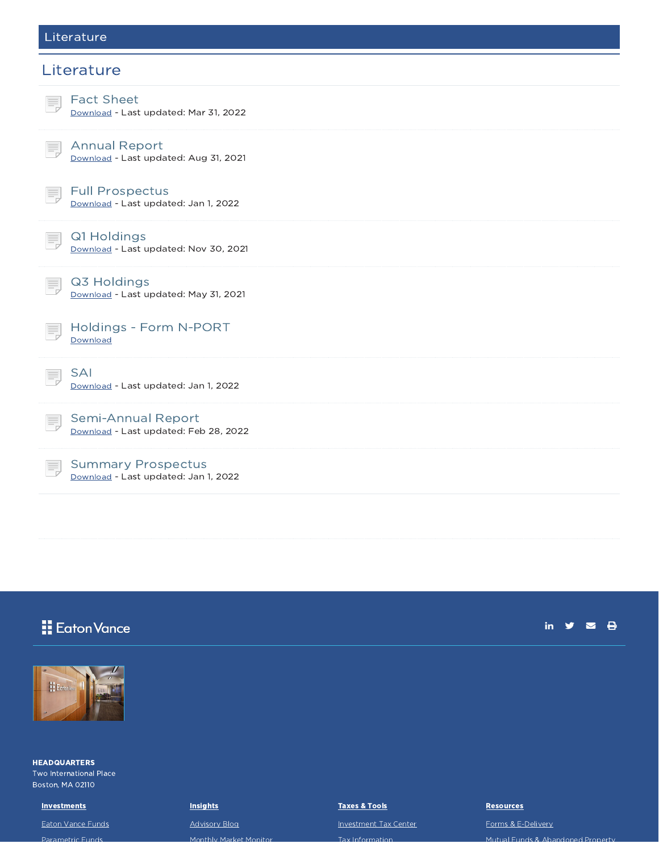